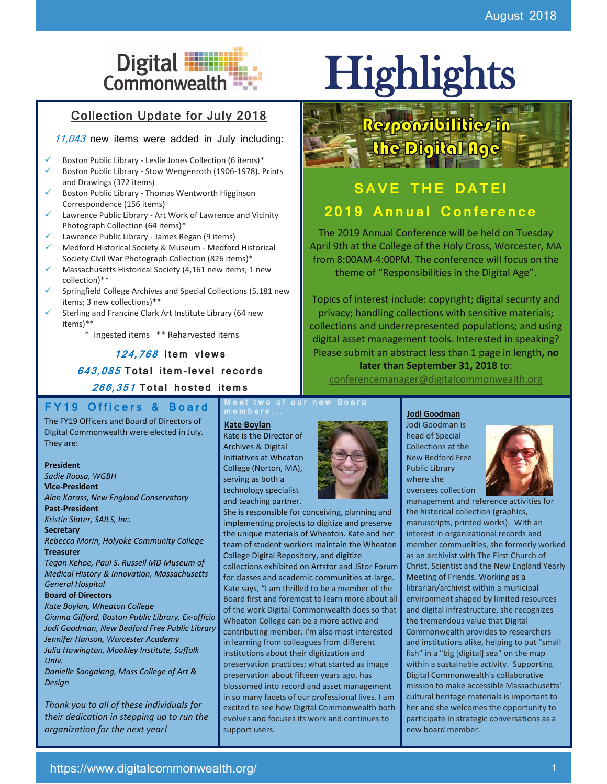# Digital **Highlights**

## Collection Update for July 2018

11,043 new items were added in July including:

- Boston Public Library Leslie Jones Collection (6 items)\*
- Boston Public Library Stow Wengenroth (1906-1978). Prints and Drawings (372 items)
- Boston Public Library Thomas Wentworth Higginson Correspondence (156 items)
- Lawrence Public Library Art Work of Lawrence and Vicinity Photograph Collection (64 items)\*
- Lawrence Public Library James Regan (9 items)
- Medford Historical Society & Museum Medford Historical Society Civil War Photograph Collection (826 items)\*
- Massachusetts Historical Society (4,161 new items; 1 new collection)\*\*
- Springfield College Archives and Special Collections (5,181 new items; 3 new collections)\*\*
- Sterling and Francine Clark Art Institute Library (64 new items)\*\*

\* Ingested items \*\* Reharvested items

## **124,768 I tem** v**iew s**

**643,085 To tal i tem-le vel re co rds** 

**266,351 To tal ho s ted i tem s**

## **F Y 1 9 O f f i c e r s & B o a r d**

The FY19 Officers and Board of Directors of Digital Commonwealth were elected in July. They are:

### **President**

*Sadie Roosa, WGBH* **Vice-President** *Alan Karass, New England Conservatory* **Past-President** *Kristin Slater, SAILS, Inc.*

#### **Secretary**

*Rebecca Morin, Holyoke Community College* **Treasurer**

*Tegan Kehoe, Paul S. Russell MD Museum of Medical History & Innovation, Massachusetts General Hospital*

### **Board of Directors**

*Kate Boylan, Wheaton College Gianna Gifford, Boston Public Library, Ex-officio Jodi Goodman, New Bedford Free Public Library Jennifer Hanson, Worcester Academy Julia Howington, Moakley Institute, Suffolk Univ.*

*Danielle Sangalang, Mass College of Art & Design*

*Thank you to all of these individuals for their dedication in stepping up to run the organization for the next year!*

**Meet two of our new Board**  $m e m b e r s \ldots$ 

**Kate Boylan**

Kate is the Director of Archives & Digital Initiatives at Wheaton College (Norton, MA), serving as both a technology specialist and teaching partner.

She is responsible for conceiving, planning and implementing projects to digitize and preserve the unique materials of Wheaton. Kate and her team of student workers maintain the Wheaton College Digital Repository, and digitize collections exhibited on Artstor and JStor Forum for classes and academic communities at-large. Kate says, "I am thrilled to be a member of the Board first and foremost to learn more about all of the work Digital Commonwealth does so that Wheaton College can be a more active and contributing member. I'm also most interested in learning from colleagues from different institutions about their digitization and preservation practices; what started as image preservation about fifteen years ago, has blossomed into record and asset management in so many facets of our professional lives. I am excited to see how Digital Commonwealth both evolves and focuses its work and continues to support users.



## Responsibilities in the Digital Age

## **SAVE THE DATE! 2019 Annual Conference**

The 2019 Annual Conference will be held on Tuesday April 9th at the College of the Holy Cross, Worcester, MA from 8:00AM-4:00PM. The conference will focus on the theme of "Responsibilities in the Digital Age".

Topics of interest include: copyright; digital security and privacy; handling collections with sensitive materials; collections and underrepresented populations; and using digital asset management tools. Interested in speaking? Please submit an abstract less than 1 page in length**, no later than September 31, 2018** to:

[conferencemanager@digitalcommonwealth.org](mailto:conferencemanager@digitalcommonwealth.org)

**Jodi Goodman** Jodi Goodman is head of Special Collections at the New Bedford Free Public Library where she oversees collection



management and reference activities for the historical collection (graphics, manuscripts, printed works). With an interest in organizational records and member communities, she formerly worked as an archivist with The First Church of Christ, Scientist and the New England Yearly Meeting of Friends. Working as a librarian/archivist within a municipal environment shaped by limited resources and digital infrastructure, she recognizes the tremendous value that Digital Commonwealth provides to researchers and institutions alike, helping to put "small fish" in a "big [digital] sea" on the map within a sustainable activity. Supporting Digital Commonwealth's collaborative mission to make accessible Massachusetts' cultural heritage materials is important to her and she welcomes the opportunity to participate in strategic conversations as a new board member.